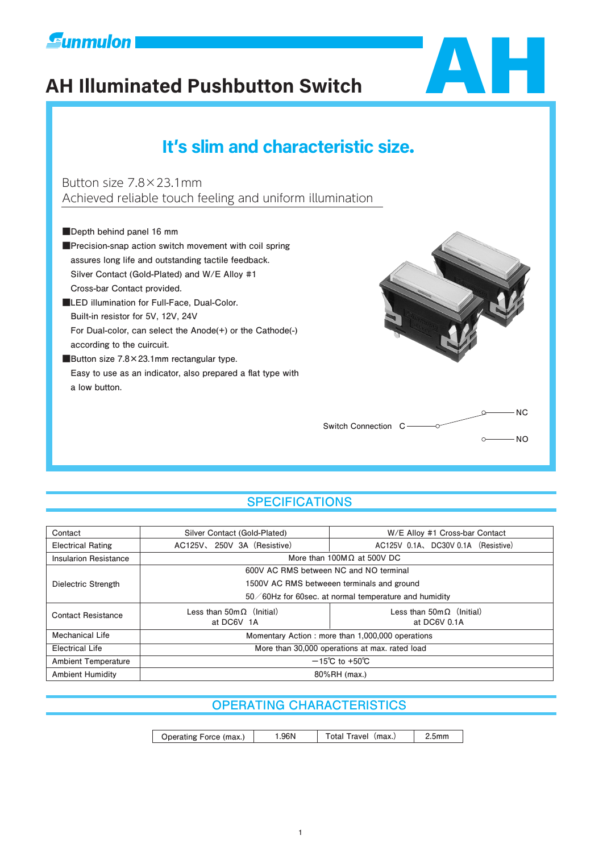

# **AH Illuminated Pushbutton Switch** AH



# **It′s slim and characteristic size**.

Button size 7.8×23.1mm Achieved reliable touch feeling and uniform illumination

■**Depth behind panel 16 mm**

**■Precision-snap action switch movement with coil spring assures long life and outstanding tactile feedback. Silver Contact (Gold-Plated) and W/E Alloy #1 Cross-bar Contact provided.**

**■LED illumination for Full-Face, Dual-Color. Built-in resistor for 5V, 12V, 24V For Dual-color, can select the Anode(+) or the Cathode(-) according to the cuircuit.**

■Button size 7.8×23.1mm rectangular type.  **Easy to use as an indicator, also prepared a flat type with a low button.**



# **SPECIFICATIONS**

| Contact                                               | Silver Contact (Gold-Plated)                                                         | W/E Alloy #1 Cross-bar Contact     |  |  |  |  |  |
|-------------------------------------------------------|--------------------------------------------------------------------------------------|------------------------------------|--|--|--|--|--|
| <b>Electrical Rating</b>                              | AC125V, 250V 3A (Resistive)<br>AC125V 0.1A, DC30V 0.1A (Resistive)                   |                                    |  |  |  |  |  |
| <b>Insularion Resistance</b>                          |                                                                                      | More than 100M $\Omega$ at 500V DC |  |  |  |  |  |
|                                                       | 600V AC RMS between NC and NO terminal                                               |                                    |  |  |  |  |  |
| Dielectric Strength                                   | 1500V AC RMS betweeen terminals and ground                                           |                                    |  |  |  |  |  |
| 50/60Hz for 60sec. at normal temperature and humidity |                                                                                      |                                    |  |  |  |  |  |
| <b>Contact Resistance</b>                             | Less than $50 \text{m} \Omega$ (Initial)<br>Less than $50 \text{m} \Omega$ (Initial) |                                    |  |  |  |  |  |
|                                                       | at DC6V 1A                                                                           | at DC6V 0.1A                       |  |  |  |  |  |
| Mechanical Life                                       | Momentary Action: more than 1,000,000 operations                                     |                                    |  |  |  |  |  |
| Electrical Life                                       | More than 30,000 operations at max. rated load                                       |                                    |  |  |  |  |  |
| <b>Ambient Temperature</b>                            | $-15^{\circ}$ C to +50 $^{\circ}$ C                                                  |                                    |  |  |  |  |  |
| <b>Ambient Humidity</b>                               | 80%RH (max.)                                                                         |                                    |  |  |  |  |  |

# **OPERATING CHARACTERISTICS**

| Operating Force (max.) | .96N | Total Travel (max.) | 2.5mm |
|------------------------|------|---------------------|-------|
|------------------------|------|---------------------|-------|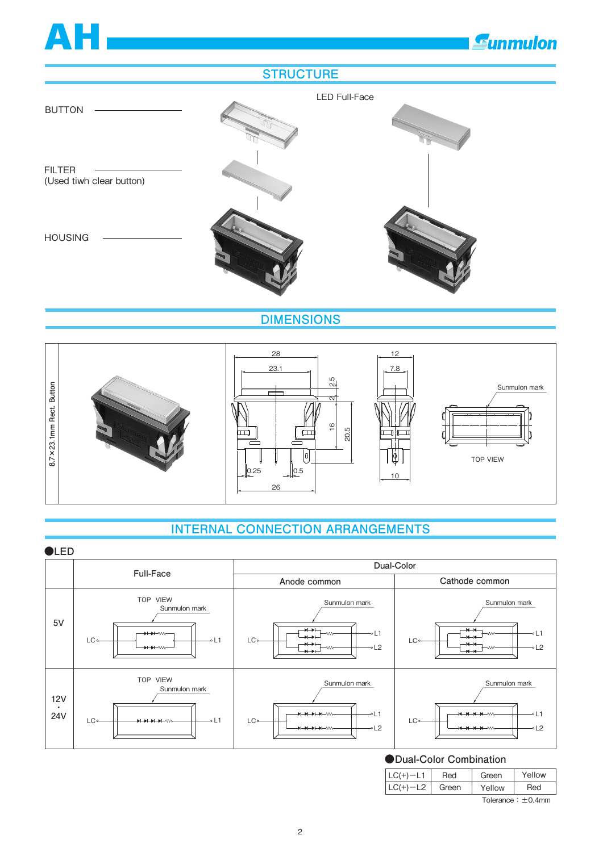# **E**unmulon

## **STRUCTURE**

AH



**DIMENSIONS**



# **INTERNAL CONNECTION ARRANGEMENTS**



LC(+)-L2 Green Yellow Red  $T$ olerance:  $\pm$ 0.4mm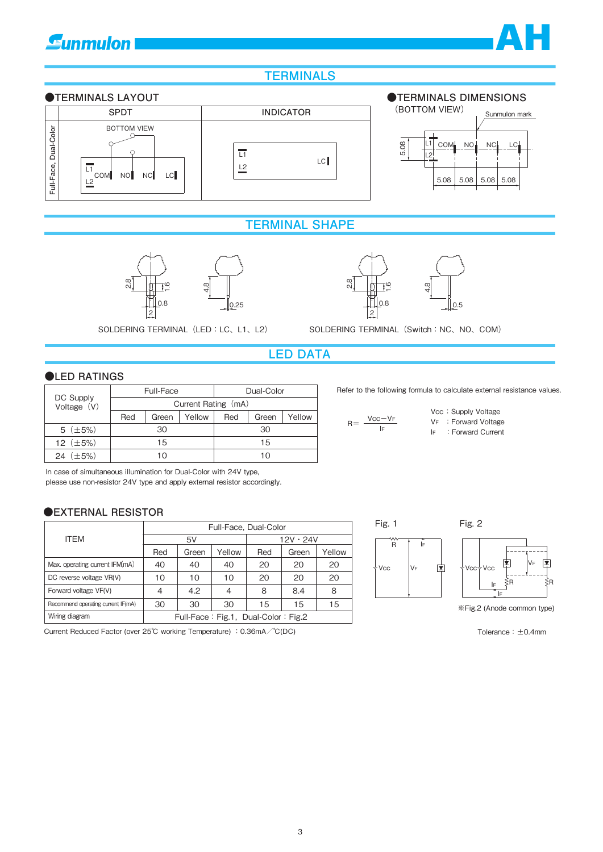# **Gunmulon**



# **TERMINALS**



### **TERMINAL SHAPE**





SOLDERING TERMINAL (LED: LC、L1、L2) SOLDERING TERMINAL (Switch: NC、NO、COM)

## **LED DATA**

#### ●**LED RATINGS**

|                            |                     |     | Full-Face |        | Dual-Color |       |        |
|----------------------------|---------------------|-----|-----------|--------|------------|-------|--------|
| DC Supply<br>Voltage $(V)$ | Current Rating (mA) |     |           |        |            |       |        |
|                            |                     | Red | Green     | Yellow | Red        | Green | Yellow |
|                            | $5$ ( $\pm 5\%$ )   | 30  |           |        | 30         |       |        |
|                            | 12 $(\pm 5\%)$      | 15  |           |        | 15         |       |        |
|                            | 24 $(\pm 5\%)$      | 10  |           |        | 1 ()       |       |        |

#### **●EXTERNAL RESISTOR**

| Full-Face, Dual-Color<br>L1<br><b>COM</b><br>L2                                                                                                                              | <b>BOTTOM VIEW</b><br>NO <sup></sup> | NC<br>LC <sup></sup> |            | $\overline{L1}$<br>L <sub>2</sub>    |                                     |                 | LC                    |
|------------------------------------------------------------------------------------------------------------------------------------------------------------------------------|--------------------------------------|----------------------|------------|--------------------------------------|-------------------------------------|-----------------|-----------------------|
|                                                                                                                                                                              |                                      |                      |            |                                      |                                     |                 | <b>TERMINAL SHAPE</b> |
|                                                                                                                                                                              |                                      |                      |            |                                      |                                     |                 |                       |
|                                                                                                                                                                              | $\frac{8}{2}$                        | <u>م⊤</u><br>0.8     | œ          | 0.25                                 |                                     |                 | $\frac{8}{2}$         |
|                                                                                                                                                                              |                                      |                      |            | SOLDERING TERMINAL (LED: LC, L1, L2) |                                     |                 | <b>SOLDERING</b>      |
|                                                                                                                                                                              |                                      |                      |            |                                      |                                     | <b>LED DATA</b> |                       |
| <b>OLED RATINGS</b>                                                                                                                                                          |                                      |                      |            |                                      |                                     |                 |                       |
|                                                                                                                                                                              | Full-Face                            |                      | Dual-Color |                                      | Refe                                |                 |                       |
| DC Supply<br>Voltage $(V)$                                                                                                                                                   |                                      |                      |            | Current Rating (mA)                  |                                     |                 |                       |
|                                                                                                                                                                              | Red                                  | Green                | Yellow     | Red                                  | Green                               | Yellow          |                       |
| $5$ ( $\pm 5\%$ )                                                                                                                                                            |                                      | 30                   |            |                                      | 30                                  |                 | R                     |
| 12 $(\pm 5\%)$                                                                                                                                                               |                                      | 15                   |            | 15                                   |                                     |                 |                       |
| 24 $(\pm 5\%)$                                                                                                                                                               |                                      | 10                   |            | 10                                   |                                     |                 |                       |
| In case of simultaneous illumination for Dual-Color with 24V type,<br>please use non-resistor 24V type and apply external resistor accordingly.<br><b>DEXTERNAL RESISTOR</b> |                                      |                      |            |                                      |                                     |                 |                       |
|                                                                                                                                                                              |                                      |                      |            |                                      | Full-Face, Dual-Color               |                 |                       |
| <b>ITEM</b>                                                                                                                                                                  |                                      | 5V                   |            |                                      |                                     | $12V \cdot 24V$ |                       |
|                                                                                                                                                                              |                                      | Red                  | Green      | Yellow                               | Red                                 | Green           | Yellow                |
| Max. operating current IFM(mA)                                                                                                                                               |                                      | 40                   | 40         | 40                                   | 20                                  | 20              | 20                    |
| DC reverse voltage VR(V)                                                                                                                                                     |                                      | 10                   | 10         | 10                                   | 20                                  | 20              | 20                    |
| Forward voltage VF(V)                                                                                                                                                        |                                      | $\overline{4}$       | 4.2        | 4                                    | 8                                   | 8.4             | 8                     |
| Recommend operating current IF(mA)                                                                                                                                           |                                      | 30                   | 30         | 30                                   | 15                                  | 15              | 15                    |
| Wiring diagram                                                                                                                                                               |                                      |                      |            |                                      | Full-Face: Fig.1, Dual-Color: Fig.2 |                 |                       |
| Current Reduced Factor (over 25°C working Temperature) : 0.36mA/°C(DC)                                                                                                       |                                      |                      |            |                                      |                                     |                 |                       |

Refer to the following formula to calculate external resistance values.

|       |          |      | Vcc: Supply Voltage  |
|-------|----------|------|----------------------|
| $R =$ | $Vcc-VF$ |      | VF : Forward Voltage |
|       | I۴       | le l | : Forward Current    |



※Fig.2 (Anode common type)

Tolerance:±0.4mm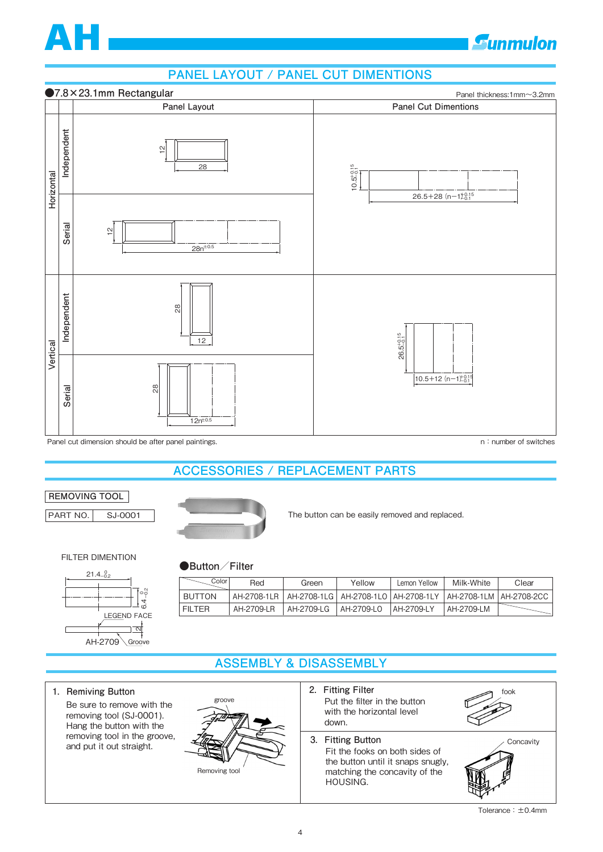

# **Gunmulon**

# **PANEL LAYOUT / PANEL CUT DIMENTIONS**



Panel cut dimension should be after panel paintings. Notice that the state of switches are not included in the state of switches

# **ACCESSORIES / REPLACEMENT PARTS**

#### **REMOVING TOOL**

PART NO. SJ-0001



**●Button/Filter**

The button can be easily removed and replaced.

FILTER DIMENTION



| Color'        | Red        | Green      | Yellow     | Lemon Yellow | Milk-White                                                                        | Clear |
|---------------|------------|------------|------------|--------------|-----------------------------------------------------------------------------------|-------|
| <b>BUTTON</b> |            |            |            |              | AH-2708-1LR   AH-2708-1LG   AH-2708-1LO   AH-2708-1LY   AH-2708-1LM   AH-2708-2CC |       |
| <b>FILTER</b> | AH-2709-LR | AH-2709-LG | AH-2709-LO | AH-2709-LY   | AH-2709-LM                                                                        |       |

# **ASSEMBLY & DISASSEMBLY**

**1. Remiving Button** 

Be sure to remove with the removing tool (SJ-0001). Hang the button with the removing tool in the groove, removing tool in the groove,<br>and put it out straight.<br>**3.** Fitting Button



Removing tool

- **2.Fitting Filter** Put the filter in the button with the horizontal level down.
	- Fit the fooks on both sides of the button until it snaps snugly, matching the concavity of the HOUSING.







Tolerance:±0.4mm